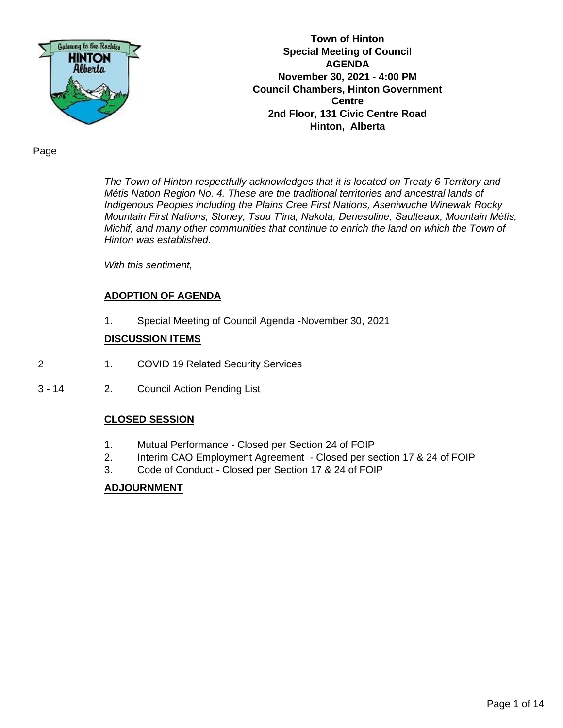

**Town of Hinton Special Meeting of Council AGENDA November 30, 2021 - 4:00 PM Council Chambers, Hinton Government Centre 2nd Floor, 131 Civic Centre Road Hinton, Alberta**

Page

*The Town of Hinton respectfully acknowledges that it is located on Treaty 6 Territory and Métis Nation Region No. 4. These are the traditional territories and ancestral lands of Indigenous Peoples including the Plains Cree First Nations, Aseniwuche Winewak Rocky Mountain First Nations, Stoney, Tsuu T'ina, Nakota, Denesuline, Saulteaux, Mountain Métis, Michif, and many other communities that continue to enrich the land on which the Town of Hinton was established.* 

*With this sentiment,* 

#### **ADOPTION OF AGENDA**

1. Special Meeting of Council Agenda -November 30, 2021

#### **DISCUSSION ITEMS**

- 2 1. COVID 19 Related Security Services
- 3 14 2. Council Action Pending List

#### **CLOSED SESSION**

- 1. Mutual Performance Closed per Section 24 of FOIP
- 2. Interim CAO Employment Agreement Closed per section 17 & 24 of FOIP
- 3. Code of Conduct Closed per Section 17 & 24 of FOIP

#### **ADJOURNMENT**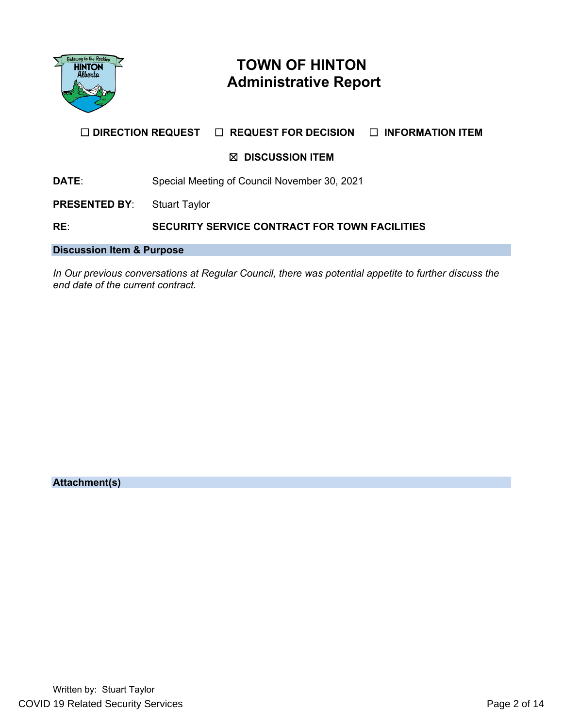

# **TOWN OF HINTON Administrative Report**

## **☐ DIRECTION REQUEST ☐ REQUEST FOR DECISION ☐ INFORMATION ITEM**

## **☒ DISCUSSION ITEM**

**DATE**: Special Meeting of Council November 30, 2021

**PRESENTED BY:** Stuart Taylor

### **RE**: **SECURITY SERVICE CONTRACT FOR TOWN FACILITIES**

#### **Discussion Item & Purpose**

*In Our previous conversations at Regular Council, there was potential appetite to further discuss the end date of the current contract.* 

**Attachment(s)**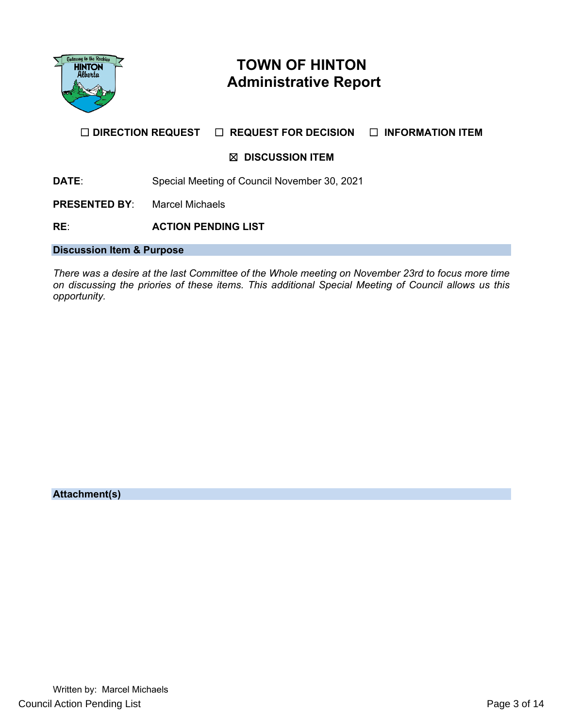

# **TOWN OF HINTON Administrative Report**

# **☐ DIRECTION REQUEST ☐ REQUEST FOR DECISION ☐ INFORMATION ITEM**

## **☒ DISCUSSION ITEM**

**DATE**: Special Meeting of Council November 30, 2021

**PRESENTED BY**: Marcel Michaels

**RE**: **ACTION PENDING LIST**

#### **Discussion Item & Purpose**

*There was a desire at the last Committee of the Whole meeting on November 23rd to focus more time on discussing the priories of these items. This additional Special Meeting of Council allows us this opportunity.* 

**Attachment(s)**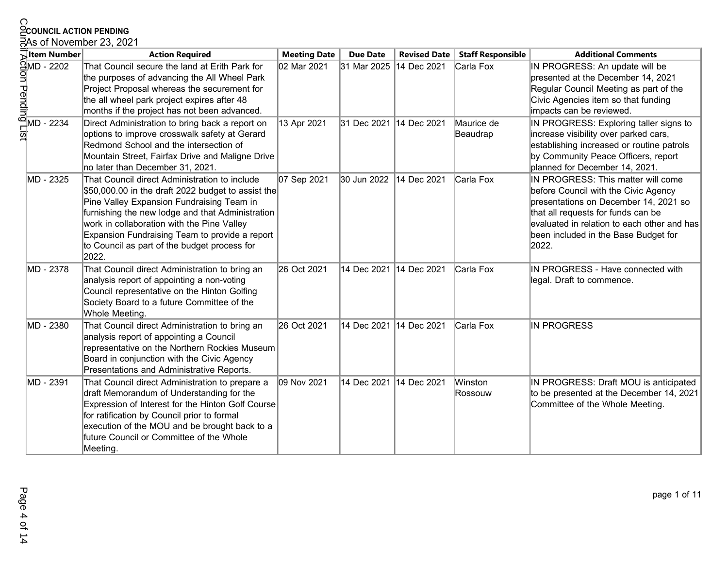| O                                                                                                    |                      | <b>PCOUNCIL ACTION PENDING</b><br>BAs of November 23, 2021                                                                                                                                                                                                                                                                                                    |                     |                         |                         |                          |                                                                                                                                                                                                                                                           |
|------------------------------------------------------------------------------------------------------|----------------------|---------------------------------------------------------------------------------------------------------------------------------------------------------------------------------------------------------------------------------------------------------------------------------------------------------------------------------------------------------------|---------------------|-------------------------|-------------------------|--------------------------|-----------------------------------------------------------------------------------------------------------------------------------------------------------------------------------------------------------------------------------------------------------|
|                                                                                                      | <b>J</b> Item Number | <b>Action Required</b>                                                                                                                                                                                                                                                                                                                                        | <b>Meeting Date</b> | <b>Due Date</b>         | <b>Revised Date</b>     | <b>Staff Responsible</b> | <b>Additional Comments</b>                                                                                                                                                                                                                                |
| <b>ANIMD - 2202</b><br><b>COMP</b> - 2202<br><b>POPP</b><br><b>COMP</b> - 2234<br><b>COMP</b> - 2234 |                      | That Council secure the land at Erith Park for<br>the purposes of advancing the All Wheel Park<br>Project Proposal whereas the securement for<br>the all wheel park project expires after 48<br>months if the project has not been advanced.                                                                                                                  | 02 Mar 2021         | 31 Mar 2025             | 14 Dec 2021             | Carla Fox                | IN PROGRESS: An update will be<br>presented at the December 14, 2021<br>Regular Council Meeting as part of the<br>Civic Agencies item so that funding<br>impacts can be reviewed.                                                                         |
|                                                                                                      |                      | Direct Administration to bring back a report on<br>options to improve crosswalk safety at Gerard<br>Redmond School and the intersection of<br>Mountain Street, Fairfax Drive and Maligne Drive<br>no later than December 31, 2021.                                                                                                                            | 13 Apr 2021         | 31 Dec 2021 14 Dec 2021 |                         | Maurice de<br>Beaudrap   | IN PROGRESS: Exploring taller signs to<br>increase visibility over parked cars,<br>establishing increased or routine patrols<br>by Community Peace Officers, report<br>planned for December 14, 2021.                                                     |
|                                                                                                      | MD - 2325            | That Council direct Administration to include<br>\$50,000.00 in the draft 2022 budget to assist the<br>Pine Valley Expansion Fundraising Team in<br>furnishing the new lodge and that Administration<br>work in collaboration with the Pine Valley<br>Expansion Fundraising Team to provide a report<br>to Council as part of the budget process for<br>2022. | 07 Sep 2021         | 30 Jun 2022             | 14 Dec 2021             | Carla Fox                | IN PROGRESS: This matter will come<br>before Council with the Civic Agency<br>presentations on December 14, 2021 so<br>that all requests for funds can be<br>evaluated in relation to each other and has<br>been included in the Base Budget for<br>2022. |
|                                                                                                      | MD - 2378            | That Council direct Administration to bring an<br>analysis report of appointing a non-voting<br>Council representative on the Hinton Golfing<br>Society Board to a future Committee of the<br>Whole Meeting.                                                                                                                                                  | 26 Oct 2021         |                         | 14 Dec 2021 14 Dec 2021 | Carla Fox                | IN PROGRESS - Have connected with<br>legal. Draft to commence.                                                                                                                                                                                            |
|                                                                                                      | MD - 2380            | That Council direct Administration to bring an<br>analysis report of appointing a Council<br>representative on the Northern Rockies Museum<br>Board in conjunction with the Civic Agency<br>Presentations and Administrative Reports.                                                                                                                         | 26 Oct 2021         |                         | 14 Dec 2021 14 Dec 2021 | Carla Fox                | IN PROGRESS                                                                                                                                                                                                                                               |
|                                                                                                      | MD - 2391            | That Council direct Administration to prepare a<br>draft Memorandum of Understanding for the<br>Expression of Interest for the Hinton Golf Course<br>for ratification by Council prior to formal<br>execution of the MOU and be brought back to a<br>future Council or Committee of the Whole<br>Meeting.                                                     | 09 Nov 2021         | 14 Dec 2021 14 Dec 2021 |                         | Winston<br>Rossouw       | IN PROGRESS: Draft MOU is anticipated<br>to be presented at the December 14, 2021<br>Committee of the Whole Meeting.                                                                                                                                      |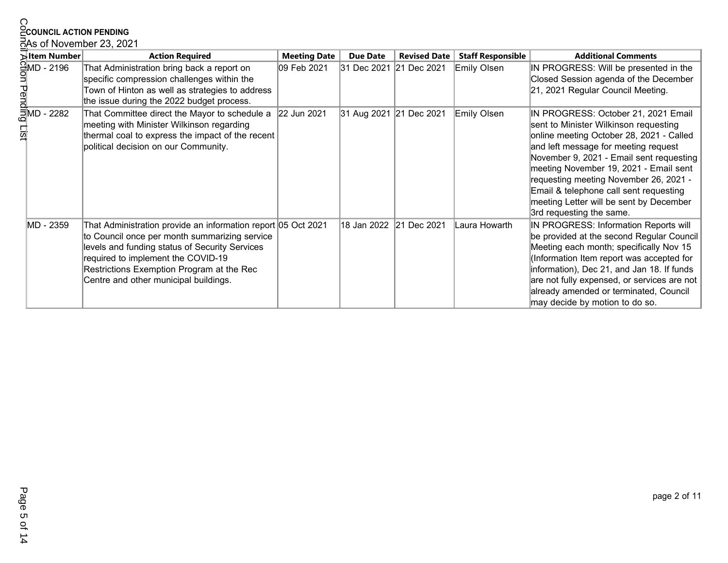|                                                                                                                                                                                                                                                          |              | <b><i><u>ECOUNCIL ACTION PENDING</u></i></b><br>ನAs of November 23, 2021                                                                                                                                                                                                                     |                     |                         |                         |                          |                                                                                                                                                                                                                                                                                                                                                                                                                   |
|----------------------------------------------------------------------------------------------------------------------------------------------------------------------------------------------------------------------------------------------------------|--------------|----------------------------------------------------------------------------------------------------------------------------------------------------------------------------------------------------------------------------------------------------------------------------------------------|---------------------|-------------------------|-------------------------|--------------------------|-------------------------------------------------------------------------------------------------------------------------------------------------------------------------------------------------------------------------------------------------------------------------------------------------------------------------------------------------------------------------------------------------------------------|
|                                                                                                                                                                                                                                                          | Sitem Number | <b>Action Required</b>                                                                                                                                                                                                                                                                       | <b>Meeting Date</b> | <b>Due Date</b>         | <b>Revised Date</b>     | <b>Staff Responsible</b> | <b>Additional Comments</b>                                                                                                                                                                                                                                                                                                                                                                                        |
| Action Number<br>The Department<br>The District of the Sandy<br>The District of the Sandy<br>The District of the Sandy<br>The District of the Sandy<br>The Sandy<br>The Sandy<br>The Sandy<br>The Sandy<br>The Sandy<br>The Sandy<br>The Sandy<br>The Sa |              | That Administration bring back a report on<br>specific compression challenges within the<br>Town of Hinton as well as strategies to address<br>the issue during the 2022 budget process.                                                                                                     | 09 Feb 2021         | 31 Dec 2021 21 Dec 2021 |                         | Emily Olsen              | IN PROGRESS: Will be presented in the<br>Closed Session agenda of the December<br>21, 2021 Regular Council Meeting.                                                                                                                                                                                                                                                                                               |
|                                                                                                                                                                                                                                                          |              | That Committee direct the Mayor to schedule a<br>meeting with Minister Wilkinson regarding<br>thermal coal to express the impact of the recent<br>political decision on our Community.                                                                                                       | 22 Jun 2021         | 31 Aug 2021 21 Dec 2021 |                         | Emily Olsen              | IN PROGRESS: October 21, 2021 Email<br>sent to Minister Wilkinson requesting<br>online meeting October 28, 2021 - Called<br>and left message for meeting request<br>November 9, 2021 - Email sent requesting<br>meeting November 19, 2021 - Email sent<br>requesting meeting November 26, 2021 -<br>Email & telephone call sent requesting<br>meeting Letter will be sent by December<br>3rd requesting the same. |
|                                                                                                                                                                                                                                                          | MD - 2359    | That Administration provide an information report 05 Oct 2021<br>to Council once per month summarizing service<br>levels and funding status of Security Services<br>required to implement the COVID-19<br>Restrictions Exemption Program at the Rec<br>Centre and other municipal buildings. |                     |                         | 18 Jan 2022 21 Dec 2021 | Laura Howarth            | IN PROGRESS: Information Reports will<br>be provided at the second Regular Council<br>Meeting each month; specifically Nov 15<br>(Information Item report was accepted for<br>information), Dec 21, and Jan 18. If funds<br>are not fully expensed, or services are not<br>already amended or terminated, Council<br>may decide by motion to do so.                                                               |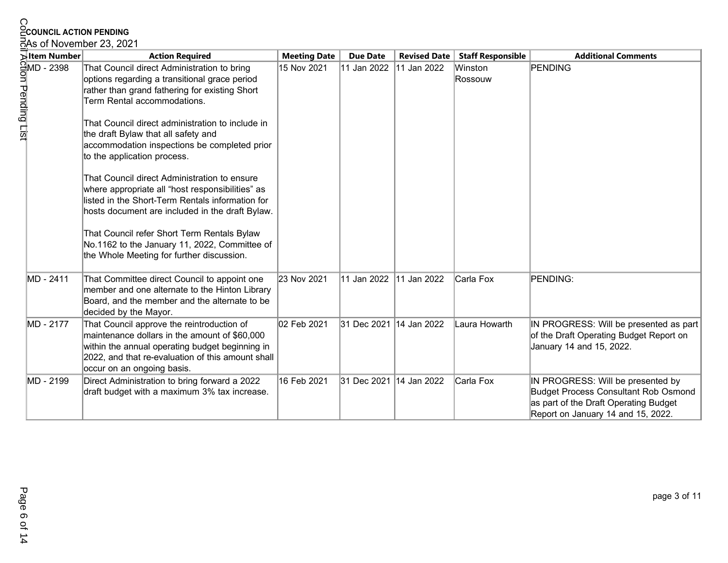| O<br><b><i><u>ECOUNCIL ACTION PENDING</u></i></b> |                                                                                                                                                                                                                                   |                     |                         |                     |                          |                                                                                                                                                                 |
|---------------------------------------------------|-----------------------------------------------------------------------------------------------------------------------------------------------------------------------------------------------------------------------------------|---------------------|-------------------------|---------------------|--------------------------|-----------------------------------------------------------------------------------------------------------------------------------------------------------------|
| <u>ි</u> As of November 23, 2021                  |                                                                                                                                                                                                                                   |                     |                         |                     |                          |                                                                                                                                                                 |
| Sitem Number                                      | <b>Action Required</b>                                                                                                                                                                                                            | <b>Meeting Date</b> | <b>Due Date</b>         | <b>Revised Date</b> | <b>Staff Responsible</b> | <b>Additional Comments</b>                                                                                                                                      |
| Millian Department<br>MD - 2398<br>The Department | That Council direct Administration to bring<br>options regarding a transitional grace period<br>rather than grand fathering for existing Short<br>Term Rental accommodations.                                                     | 15 Nov 2021         | 11 Jan 2022             | 11 Jan 2022         | Winston<br>Rossouw       | PENDING                                                                                                                                                         |
|                                                   | That Council direct administration to include in<br>the draft Bylaw that all safety and<br>accommodation inspections be completed prior<br>to the application process.                                                            |                     |                         |                     |                          |                                                                                                                                                                 |
|                                                   | That Council direct Administration to ensure<br>where appropriate all "host responsibilities" as<br>listed in the Short-Term Rentals information for<br>hosts document are included in the draft Bylaw.                           |                     |                         |                     |                          |                                                                                                                                                                 |
|                                                   | That Council refer Short Term Rentals Bylaw<br>No.1162 to the January 11, 2022, Committee of<br>the Whole Meeting for further discussion.                                                                                         |                     |                         |                     |                          |                                                                                                                                                                 |
| MD - 2411                                         | That Committee direct Council to appoint one<br>member and one alternate to the Hinton Library<br>Board, and the member and the alternate to be<br>decided by the Mayor.                                                          | 23 Nov 2021         | 11 Jan 2022             | 11 Jan 2022         | Carla Fox                | PENDING:                                                                                                                                                        |
| MD - 2177                                         | That Council approve the reintroduction of<br>maintenance dollars in the amount of \$60,000<br>within the annual operating budget beginning in<br>2022, and that re-evaluation of this amount shall<br>occur on an ongoing basis. | 02 Feb 2021         | 31 Dec 2021 14 Jan 2022 |                     | Laura Howarth            | IN PROGRESS: Will be presented as part<br>of the Draft Operating Budget Report on<br>January 14 and 15, 2022.                                                   |
| MD - 2199                                         | Direct Administration to bring forward a 2022<br>draft budget with a maximum 3% tax increase.                                                                                                                                     | 16 Feb 2021         | 31 Dec 2021 14 Jan 2022 |                     | Carla Fox                | IN PROGRESS: Will be presented by<br><b>Budget Process Consultant Rob Osmond</b><br>as part of the Draft Operating Budget<br>Report on January 14 and 15, 2022. |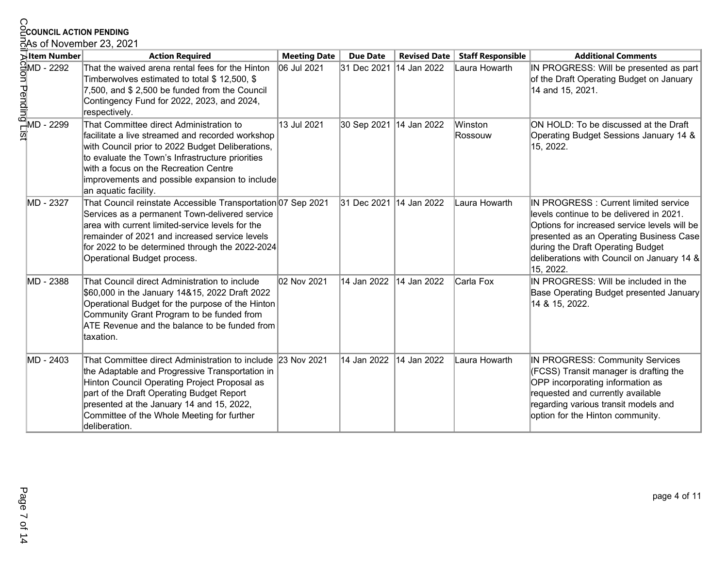| റ<br><b><i><u>ECOUNCIL ACTION PENDING</u></i></b><br>ਨੋAs of November 23, 2021  |                                                                                                                                                                                                                                                                                                                        |                     |                         |                     |                          |                                                                                                                                                                                                                                                                              |
|---------------------------------------------------------------------------------|------------------------------------------------------------------------------------------------------------------------------------------------------------------------------------------------------------------------------------------------------------------------------------------------------------------------|---------------------|-------------------------|---------------------|--------------------------|------------------------------------------------------------------------------------------------------------------------------------------------------------------------------------------------------------------------------------------------------------------------------|
| Sitem Number                                                                    | <b>Action Required</b>                                                                                                                                                                                                                                                                                                 | <b>Meeting Date</b> | <b>Due Date</b>         | <b>Revised Date</b> | <b>Staff Responsible</b> | <b>Additional Comments</b>                                                                                                                                                                                                                                                   |
| Anten Hullis<br>OdDo - 2292<br>The Discrete Party<br>SAND - 2299<br>SAND - 2299 | That the waived arena rental fees for the Hinton<br>Timberwolves estimated to total \$12,500, \$<br>7,500, and \$2,500 be funded from the Council<br>Contingency Fund for 2022, 2023, and 2024,<br>respectively.                                                                                                       | 06 Jul 2021         | 31 Dec 2021             | 14 Jan 2022         | Laura Howarth            | IN PROGRESS: Will be presented as part<br>of the Draft Operating Budget on January<br>14 and 15, 2021.                                                                                                                                                                       |
|                                                                                 | That Committee direct Administration to<br>facilitate a live streamed and recorded workshop<br>with Council prior to 2022 Budget Deliberations,<br>to evaluate the Town's Infrastructure priorities<br>with a focus on the Recreation Centre<br>improvements and possible expansion to include<br>an aquatic facility. | 13 Jul 2021         | 30 Sep 2021 14 Jan 2022 |                     | Winston<br>Rossouw       | ON HOLD: To be discussed at the Draft<br>Operating Budget Sessions January 14 &<br>15, 2022.                                                                                                                                                                                 |
| MD - 2327                                                                       | That Council reinstate Accessible Transportation 07 Sep 2021<br>Services as a permanent Town-delivered service<br>area with current limited-service levels for the<br>remainder of 2021 and increased service levels<br>for 2022 to be determined through the 2022-2024<br>Operational Budget process.                 |                     | 31 Dec 2021 14 Jan 2022 |                     | Laura Howarth            | IN PROGRESS : Current limited service<br>levels continue to be delivered in 2021.<br>Options for increased service levels will be<br>presented as an Operating Business Case<br>during the Draft Operating Budget<br>deliberations with Council on January 14 &<br>15, 2022. |
| MD - 2388                                                                       | That Council direct Administration to include<br>\$60,000 in the January 14&15, 2022 Draft 2022<br>Operational Budget for the purpose of the Hinton<br>Community Grant Program to be funded from<br>ATE Revenue and the balance to be funded from<br>taxation.                                                         | 02 Nov 2021         | 14 Jan 2022             | 14 Jan 2022         | Carla Fox                | IN PROGRESS: Will be included in the<br>Base Operating Budget presented January<br>14 & 15, 2022.                                                                                                                                                                            |
| MD - 2403                                                                       | That Committee direct Administration to include<br>the Adaptable and Progressive Transportation in<br>Hinton Council Operating Project Proposal as<br>part of the Draft Operating Budget Report<br>presented at the January 14 and 15, 2022,<br>Committee of the Whole Meeting for further<br>deliberation.            | 23 Nov 2021         | 14 Jan 2022             | 14 Jan 2022         | Laura Howarth            | IN PROGRESS: Community Services<br>(FCSS) Transit manager is drafting the<br>OPP incorporating information as<br>requested and currently available<br>regarding various transit models and<br>option for the Hinton community.                                               |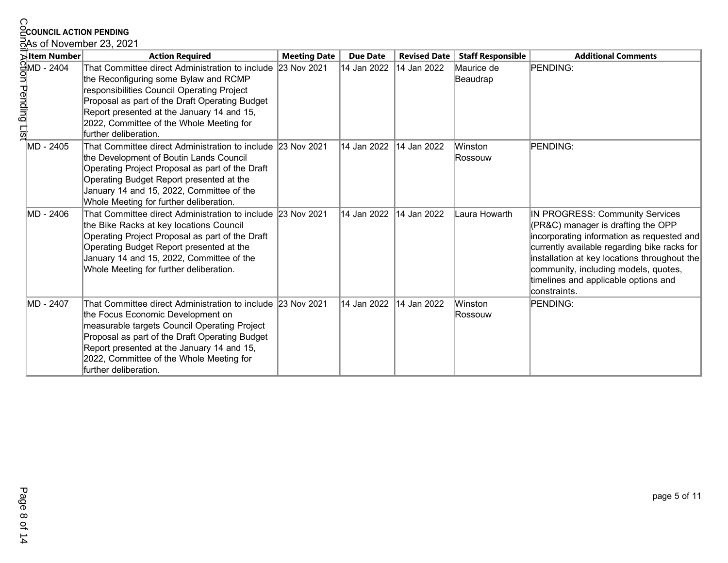| O<br><b><i><u>ECOUNCIL ACTION PENDING</u></i></b><br>ನAs of November 23, 2021 |                                                                                                                                                                                                                                                                                                                         |                     |                 |                     |                          |                                                                                                                                                                                                                                                                                                                     |
|-------------------------------------------------------------------------------|-------------------------------------------------------------------------------------------------------------------------------------------------------------------------------------------------------------------------------------------------------------------------------------------------------------------------|---------------------|-----------------|---------------------|--------------------------|---------------------------------------------------------------------------------------------------------------------------------------------------------------------------------------------------------------------------------------------------------------------------------------------------------------------|
| Sitem Number                                                                  | <b>Action Required</b>                                                                                                                                                                                                                                                                                                  | <b>Meeting Date</b> | <b>Due Date</b> | <b>Revised Date</b> | <b>Staff Responsible</b> | <b>Additional Comments</b>                                                                                                                                                                                                                                                                                          |
| Action Num<br>The CHAPTER<br>The CHAPTER<br>MD 2105                           | That Committee direct Administration to include 23 Nov 2021<br>the Reconfiguring some Bylaw and RCMP<br>responsibilities Council Operating Project<br>Proposal as part of the Draft Operating Budget<br>Report presented at the January 14 and 15,<br>2022, Committee of the Whole Meeting for<br>further deliberation. |                     | 14 Jan 2022     | 14 Jan 2022         | Maurice de<br>Beaudrap   | PENDING:                                                                                                                                                                                                                                                                                                            |
| MD - 2405                                                                     | That Committee direct Administration to include 23 Nov 2021<br>the Development of Boutin Lands Council<br>Operating Project Proposal as part of the Draft<br>Operating Budget Report presented at the<br>January 14 and 15, 2022, Committee of the<br>Whole Meeting for further deliberation.                           |                     | 14 Jan 2022     | 14 Jan 2022         | Winston<br>Rossouw       | PENDING:                                                                                                                                                                                                                                                                                                            |
| MD - 2406                                                                     | That Committee direct Administration to include 23 Nov 2021<br>the Bike Racks at key locations Council<br>Operating Project Proposal as part of the Draft<br>Operating Budget Report presented at the<br>January 14 and 15, 2022, Committee of the<br>Whole Meeting for further deliberation.                           |                     | 14 Jan 2022     | 14 Jan 2022         | Laura Howarth            | IN PROGRESS: Community Services<br>(PR&C) manager is drafting the OPP<br>incorporating information as requested and<br>currently available regarding bike racks for<br>installation at key locations throughout the<br>community, including models, quotes,<br>timelines and applicable options and<br>constraints. |
| MD - 2407                                                                     | That Committee direct Administration to include 23 Nov 2021<br>the Focus Economic Development on<br>measurable targets Council Operating Project<br>Proposal as part of the Draft Operating Budget<br>Report presented at the January 14 and 15,<br>2022, Committee of the Whole Meeting for<br>further deliberation.   |                     | 14 Jan 2022     | 14 Jan 2022         | Winston<br>Rossouw       | PENDING:                                                                                                                                                                                                                                                                                                            |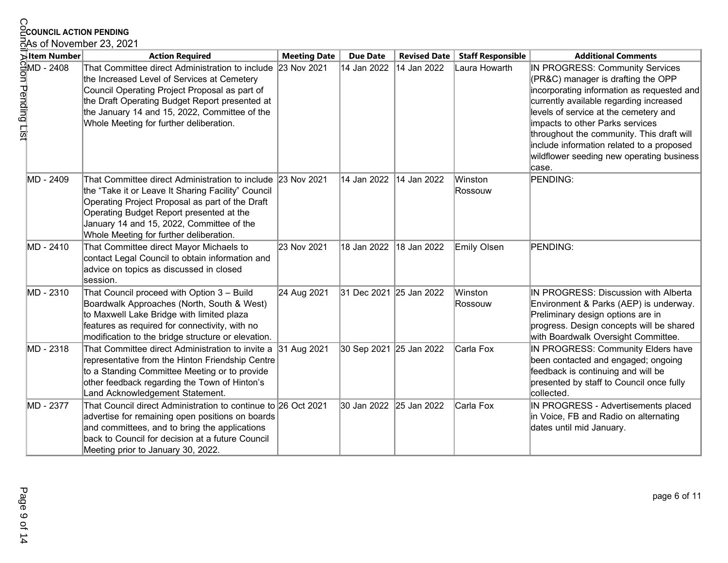#### As of November 23, 2021

| O                                                                                                                                                                                                                                                        | <b><i><u>ECOUNCIL ACTION PENDING</u></i></b>                                                                                                                                                                                                                                                              |                     |                         |                     |                          |                                                                                                                                                                                                                                                                                                                                                                                             |  |  |  |
|----------------------------------------------------------------------------------------------------------------------------------------------------------------------------------------------------------------------------------------------------------|-----------------------------------------------------------------------------------------------------------------------------------------------------------------------------------------------------------------------------------------------------------------------------------------------------------|---------------------|-------------------------|---------------------|--------------------------|---------------------------------------------------------------------------------------------------------------------------------------------------------------------------------------------------------------------------------------------------------------------------------------------------------------------------------------------------------------------------------------------|--|--|--|
| ನAs of November 23, 2021                                                                                                                                                                                                                                 |                                                                                                                                                                                                                                                                                                           |                     |                         |                     |                          |                                                                                                                                                                                                                                                                                                                                                                                             |  |  |  |
| Sitem Number                                                                                                                                                                                                                                             | <b>Action Required</b>                                                                                                                                                                                                                                                                                    | <b>Meeting Date</b> | <b>Due Date</b>         | <b>Revised Date</b> | <b>Staff Responsible</b> | <b>Additional Comments</b>                                                                                                                                                                                                                                                                                                                                                                  |  |  |  |
| <b>Action 1997</b><br>The DIST of the SAR<br>Distribution of the SAR<br>International Distribution of the SAR<br>International Distribution of the SAR<br>International Distribution of the SAR<br>International Distribution of the SAR<br>Internationa | That Committee direct Administration to include 23 Nov 2021<br>the Increased Level of Services at Cemetery<br>Council Operating Project Proposal as part of<br>the Draft Operating Budget Report presented at<br>the January 14 and 15, 2022, Committee of the<br>Whole Meeting for further deliberation. |                     | 14 Jan 2022             | 14 Jan 2022         | Laura Howarth            | IN PROGRESS: Community Services<br>(PR&C) manager is drafting the OPP<br>incorporating information as requested and<br>currently available regarding increased<br>levels of service at the cemetery and<br>impacts to other Parks services<br>throughout the community. This draft will<br>include information related to a proposed<br>wildflower seeding new operating business<br>lcase. |  |  |  |
| MD - 2409                                                                                                                                                                                                                                                | That Committee direct Administration to include 23 Nov 2021<br>the "Take it or Leave It Sharing Facility" Council<br>Operating Project Proposal as part of the Draft<br>Operating Budget Report presented at the<br>January 14 and 15, 2022, Committee of the<br>Whole Meeting for further deliberation.  |                     | 14 Jan 2022             | 14 Jan 2022         | Winston<br>Rossouw       | PENDING:                                                                                                                                                                                                                                                                                                                                                                                    |  |  |  |
| MD - 2410                                                                                                                                                                                                                                                | That Committee direct Mayor Michaels to<br>contact Legal Council to obtain information and<br>advice on topics as discussed in closed<br>session.                                                                                                                                                         | 23 Nov 2021         | 18 Jan 2022             | 18 Jan 2022         | <b>Emily Olsen</b>       | PENDING:                                                                                                                                                                                                                                                                                                                                                                                    |  |  |  |
| MD - 2310                                                                                                                                                                                                                                                | That Council proceed with Option 3 - Build<br>Boardwalk Approaches (North, South & West)<br>to Maxwell Lake Bridge with limited plaza<br>features as required for connectivity, with no<br>modification to the bridge structure or elevation.                                                             | 24 Aug 2021         | 31 Dec 2021 25 Jan 2022 |                     | Winston<br>Rossouw       | IN PROGRESS: Discussion with Alberta<br>Environment & Parks (AEP) is underway.<br>Preliminary design options are in<br>progress. Design concepts will be shared<br>with Boardwalk Oversight Committee.                                                                                                                                                                                      |  |  |  |
| MD - 2318                                                                                                                                                                                                                                                | That Committee direct Administration to invite a 31 Aug 2021<br>representative from the Hinton Friendship Centre<br>to a Standing Committee Meeting or to provide<br>other feedback regarding the Town of Hinton's<br>Land Acknowledgement Statement.                                                     |                     | 30 Sep 2021 25 Jan 2022 |                     | Carla Fox                | IN PROGRESS: Community Elders have<br>been contacted and engaged; ongoing<br>feedback is continuing and will be<br>presented by staff to Council once fully<br>collected.                                                                                                                                                                                                                   |  |  |  |
| MD - 2377                                                                                                                                                                                                                                                | That Council direct Administration to continue to 26 Oct 2021<br>advertise for remaining open positions on boards<br>and committees, and to bring the applications<br>back to Council for decision at a future Council<br>Meeting prior to January 30, 2022.                                              |                     | 30 Jan 2022             | 25 Jan 2022         | Carla Fox                | IN PROGRESS - Advertisements placed<br>in Voice, FB and Radio on alternating<br>dates until mid January.                                                                                                                                                                                                                                                                                    |  |  |  |

page 6 of 11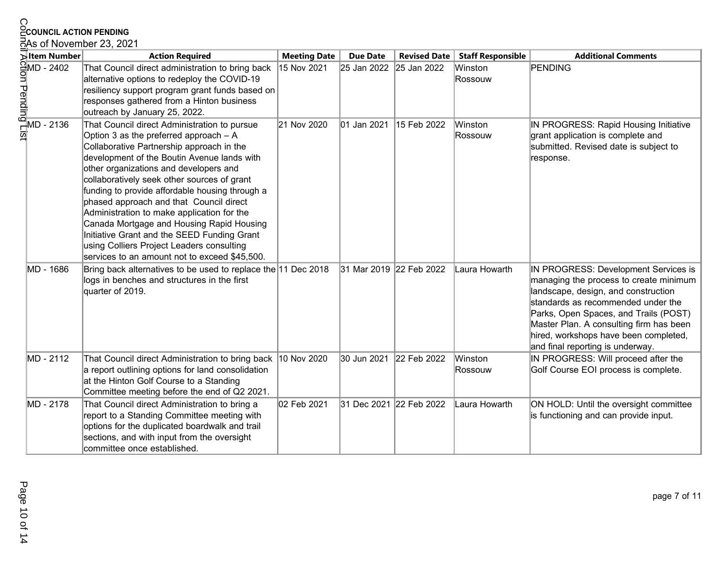# As of November 23, 2021

| ဂ<br><b><i><u>ECOUNCIL ACTION PENDING</u></i></b><br>ਨੋAs of November 23, 2021 |                                                                                                                                                                                                                                                                                                                                                                                                                                                                                                                                                                                                                     |                     |                         |                     |                          |                                                                                                                                                                                                                                                                                                                              |
|--------------------------------------------------------------------------------|---------------------------------------------------------------------------------------------------------------------------------------------------------------------------------------------------------------------------------------------------------------------------------------------------------------------------------------------------------------------------------------------------------------------------------------------------------------------------------------------------------------------------------------------------------------------------------------------------------------------|---------------------|-------------------------|---------------------|--------------------------|------------------------------------------------------------------------------------------------------------------------------------------------------------------------------------------------------------------------------------------------------------------------------------------------------------------------------|
| Sitem Number                                                                   | <b>Action Required</b>                                                                                                                                                                                                                                                                                                                                                                                                                                                                                                                                                                                              | <b>Meeting Date</b> | <b>Due Date</b>         | <b>Revised Date</b> | <b>Staff Responsible</b> | <b>Additional Comments</b>                                                                                                                                                                                                                                                                                                   |
| <b>AND - 2402</b><br>THE MAD - 2402<br>THE MAD - 2136<br>THE MAD - 2136        | That Council direct administration to bring back<br>alternative options to redeploy the COVID-19<br>resiliency support program grant funds based on<br>responses gathered from a Hinton business<br>outreach by January 25, 2022.                                                                                                                                                                                                                                                                                                                                                                                   | 15 Nov 2021         | 25 Jan 2022             | 25 Jan 2022         | Winston<br>Rossouw       | PENDING                                                                                                                                                                                                                                                                                                                      |
|                                                                                | That Council direct Administration to pursue<br>Option 3 as the preferred approach $-$ A<br>Collaborative Partnership approach in the<br>development of the Boutin Avenue lands with<br>other organizations and developers and<br>collaboratively seek other sources of grant<br>funding to provide affordable housing through a<br>phased approach and that Council direct<br>Administration to make application for the<br>Canada Mortgage and Housing Rapid Housing<br>Initiative Grant and the SEED Funding Grant<br>using Colliers Project Leaders consulting<br>services to an amount not to exceed \$45,500. | 21 Nov 2020         | 01 Jan 2021             | 15 Feb 2022         | Winston<br>Rossouw       | IN PROGRESS: Rapid Housing Initiative<br>grant application is complete and<br>submitted. Revised date is subject to<br>response.                                                                                                                                                                                             |
| MD - 1686                                                                      | Bring back alternatives to be used to replace the 11 Dec 2018<br>logs in benches and structures in the first<br>quarter of 2019.                                                                                                                                                                                                                                                                                                                                                                                                                                                                                    |                     | 31 Mar 2019 22 Feb 2022 |                     | Laura Howarth            | IN PROGRESS: Development Services is<br>managing the process to create minimum<br>landscape, design, and construction<br>standards as recommended under the<br>Parks, Open Spaces, and Trails (POST)<br>Master Plan. A consulting firm has been<br>hired, workshops have been completed,<br>and final reporting is underway. |
| MD - 2112                                                                      | That Council direct Administration to bring back<br>a report outlining options for land consolidation<br>at the Hinton Golf Course to a Standing<br>Committee meeting before the end of Q2 2021.                                                                                                                                                                                                                                                                                                                                                                                                                    | 10 Nov 2020         | 30 Jun 2021 22 Feb 2022 |                     | Winston<br>Rossouw       | IN PROGRESS: Will proceed after the<br>Golf Course EOI process is complete.                                                                                                                                                                                                                                                  |
| MD - 2178                                                                      | That Council direct Administration to bring a<br>report to a Standing Committee meeting with<br>options for the duplicated boardwalk and trail<br>sections, and with input from the oversight<br>committee once established.                                                                                                                                                                                                                                                                                                                                                                                        | 02 Feb 2021         | 31 Dec 2021 22 Feb 2022 |                     | Laura Howarth            | ON HOLD: Until the oversight committee<br>is functioning and can provide input.                                                                                                                                                                                                                                              |

page 7 of 11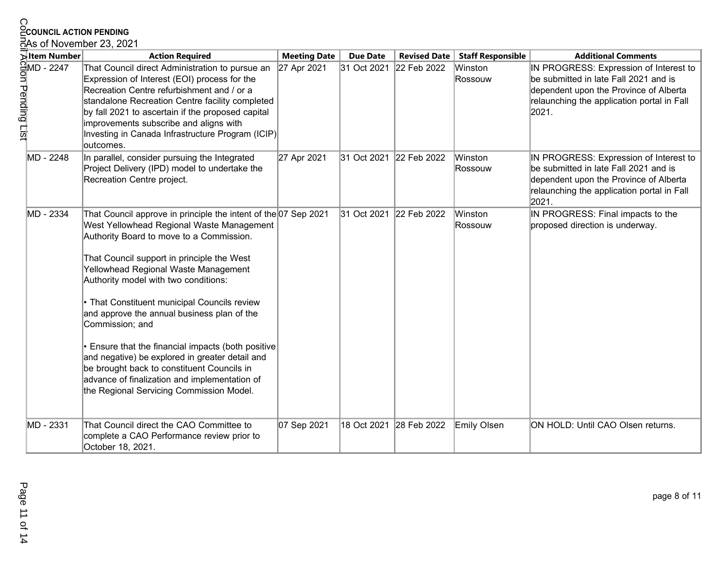| O<br><b><i><u>ECOUNCIL ACTION PENDING</u></i></b>                                                                                                                                                                                                                                 |                                                                                                                                                                                                                                                                                                                                                                                                                                                                                                                                                                                                                                                              |                     |                         |                     |                           |                                                                                                                                                                                  |
|-----------------------------------------------------------------------------------------------------------------------------------------------------------------------------------------------------------------------------------------------------------------------------------|--------------------------------------------------------------------------------------------------------------------------------------------------------------------------------------------------------------------------------------------------------------------------------------------------------------------------------------------------------------------------------------------------------------------------------------------------------------------------------------------------------------------------------------------------------------------------------------------------------------------------------------------------------------|---------------------|-------------------------|---------------------|---------------------------|----------------------------------------------------------------------------------------------------------------------------------------------------------------------------------|
| ನAs of November 23, 2021                                                                                                                                                                                                                                                          |                                                                                                                                                                                                                                                                                                                                                                                                                                                                                                                                                                                                                                                              |                     |                         |                     |                           |                                                                                                                                                                                  |
| Sitem Number                                                                                                                                                                                                                                                                      | <b>Action Required</b>                                                                                                                                                                                                                                                                                                                                                                                                                                                                                                                                                                                                                                       | <b>Meeting Date</b> | <b>Due Date</b>         | <b>Revised Date</b> | <b>Staff Responsible</b>  | <b>Additional Comments</b>                                                                                                                                                       |
| Action Number<br>The Property<br>The Property<br>The Property<br>The Property<br>The Property<br>The Property<br>The Property<br>The Property<br>The Property<br>The Property<br>The Property<br>The Property<br>The Property<br>The Property<br>The Property<br>The Property<br> | That Council direct Administration to pursue an<br>Expression of Interest (EOI) process for the<br>Recreation Centre refurbishment and / or a<br>standalone Recreation Centre facility completed<br>by fall 2021 to ascertain if the proposed capital<br>improvements subscribe and aligns with<br>Investing in Canada Infrastructure Program (ICIP)<br>loutcomes.                                                                                                                                                                                                                                                                                           | 27 Apr 2021         | 31 Oct 2021             | 22 Feb 2022         | Winston<br>Rossouw        | IN PROGRESS: Expression of Interest to<br>be submitted in late Fall 2021 and is<br>dependent upon the Province of Alberta<br>relaunching the application portal in Fall<br>2021. |
| MD - 2248                                                                                                                                                                                                                                                                         | In parallel, consider pursuing the Integrated<br>Project Delivery (IPD) model to undertake the<br>Recreation Centre project.                                                                                                                                                                                                                                                                                                                                                                                                                                                                                                                                 | 27 Apr 2021         | 31 Oct 2021 22 Feb 2022 |                     | Winston<br>Rossouw        | IN PROGRESS: Expression of Interest to<br>be submitted in late Fall 2021 and is<br>dependent upon the Province of Alberta<br>relaunching the application portal in Fall<br>2021. |
| MD - 2334                                                                                                                                                                                                                                                                         | That Council approve in principle the intent of the 07 Sep 2021<br>West Yellowhead Regional Waste Management<br>Authority Board to move to a Commission.<br>That Council support in principle the West<br>Yellowhead Regional Waste Management<br>Authority model with two conditions:<br>• That Constituent municipal Councils review<br>and approve the annual business plan of the<br>Commission; and<br>• Ensure that the financial impacts (both positive<br>and negative) be explored in greater detail and<br>be brought back to constituent Councils in<br>advance of finalization and implementation of<br>the Regional Servicing Commission Model. |                     | 31 Oct 2021 22 Feb 2022 |                     | Winston<br><b>Rossouw</b> | IN PROGRESS: Final impacts to the<br>proposed direction is underway.                                                                                                             |
| MD - 2331                                                                                                                                                                                                                                                                         | That Council direct the CAO Committee to<br>complete a CAO Performance review prior to<br>October 18, 2021.                                                                                                                                                                                                                                                                                                                                                                                                                                                                                                                                                  | 07 Sep 2021         | 18 Oct 2021 28 Feb 2022 |                     | Emily Olsen               | ON HOLD: Until CAO Olsen returns.                                                                                                                                                |

page 8 of 11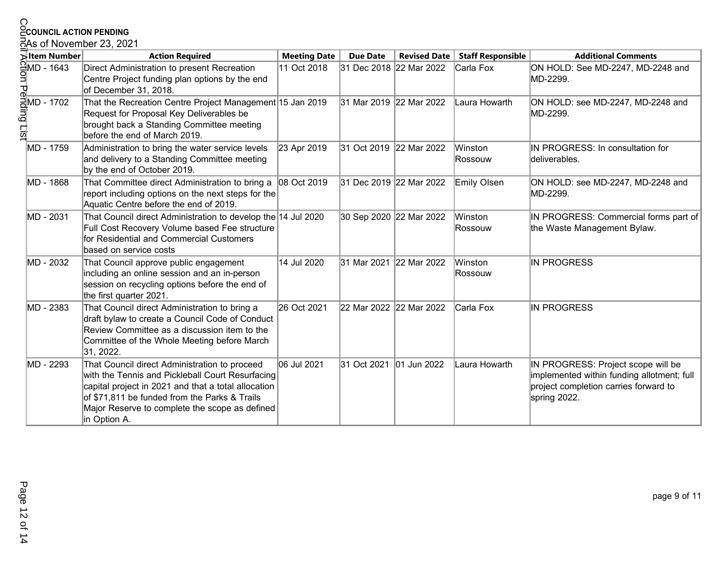| O                                                                                              |                                                                                                                                                                                                                                                                             |                     |                         |                     |                          |                                                                                                                                           |
|------------------------------------------------------------------------------------------------|-----------------------------------------------------------------------------------------------------------------------------------------------------------------------------------------------------------------------------------------------------------------------------|---------------------|-------------------------|---------------------|--------------------------|-------------------------------------------------------------------------------------------------------------------------------------------|
| <b><i><u>ECOUNCIL ACTION PENDING</u></i></b><br>RAs of November 23, 2021                       |                                                                                                                                                                                                                                                                             |                     |                         |                     |                          |                                                                                                                                           |
| Sitem Number                                                                                   | <b>Action Required</b>                                                                                                                                                                                                                                                      | <b>Meeting Date</b> | <b>Due Date</b>         | <b>Revised Date</b> | <b>Staff Responsible</b> | <b>Additional Comments</b>                                                                                                                |
|                                                                                                | Direct Administration to present Recreation                                                                                                                                                                                                                                 | 11 Oct 2018         | 31 Dec 2018 22 Mar 2022 |                     | Carla Fox                | ON HOLD: See MD-2247, MD-2248 and                                                                                                         |
| $\frac{6}{5}$ MD - 1643<br>9<br>공                                                              | Centre Project funding plan options by the end<br>of December 31, 2018.                                                                                                                                                                                                     |                     |                         |                     |                          | MD-2299.                                                                                                                                  |
| $\underbrace{ \overset{\text{B}}{\underset{\text{L}}{\text{min}}}}_{\text{L}}\text{MD - 1702}$ | That the Recreation Centre Project Management 15 Jan 2019<br>Request for Proposal Key Deliverables be<br>brought back a Standing Committee meeting<br>before the end of March 2019.                                                                                         |                     | 31 Mar 2019 22 Mar 2022 |                     | Laura Howarth            | ON HOLD: see MD-2247, MD-2248 and<br>MD-2299.                                                                                             |
| MD - 1759                                                                                      | Administration to bring the water service levels<br>and delivery to a Standing Committee meeting<br>by the end of October 2019.                                                                                                                                             | 23 Apr 2019         | 31 Oct 2019 22 Mar 2022 |                     | Winston<br>Rossouw       | IN PROGRESS: In consultation for<br>deliverables.                                                                                         |
| MD - 1868                                                                                      | That Committee direct Administration to bring a<br>report including options on the next steps for the<br>Aquatic Centre before the end of 2019.                                                                                                                             | 08 Oct 2019         | 31 Dec 2019 22 Mar 2022 |                     | Emily Olsen              | ON HOLD: see MD-2247, MD-2248 and<br>MD-2299.                                                                                             |
| MD - 2031                                                                                      | That Council direct Administration to develop the 14 Jul 2020<br>Full Cost Recovery Volume based Fee structure<br>for Residential and Commercial Customers<br>based on service costs                                                                                        |                     | 30 Sep 2020 22 Mar 2022 |                     | Winston<br>Rossouw       | IN PROGRESS: Commercial forms part of<br>the Waste Management Bylaw.                                                                      |
| MD - 2032                                                                                      | That Council approve public engagement<br>including an online session and an in-person<br>session on recycling options before the end of<br>the first quarter 2021.                                                                                                         | 14 Jul 2020         | 31 Mar 2021 22 Mar 2022 |                     | Winston<br>Rossouw       | IN PROGRESS                                                                                                                               |
| MD - 2383                                                                                      | That Council direct Administration to bring a<br>draft bylaw to create a Council Code of Conduct<br>Review Committee as a discussion item to the<br>Committee of the Whole Meeting before March<br>31, 2022.                                                                | 26 Oct 2021         | 22 Mar 2022 22 Mar 2022 |                     | Carla Fox                | <b>IN PROGRESS</b>                                                                                                                        |
| MD - 2293                                                                                      | That Council direct Administration to proceed<br>with the Tennis and Pickleball Court Resurfacing<br>capital project in 2021 and that a total allocation<br>of \$71,811 be funded from the Parks & Trails<br>Major Reserve to complete the scope as defined<br>in Option A. | 06 Jul 2021         | 31 Oct 2021 01 Jun 2022 |                     | Laura Howarth            | IN PROGRESS: Project scope will be<br>implemented within funding allotment; full<br>project completion carries forward to<br>spring 2022. |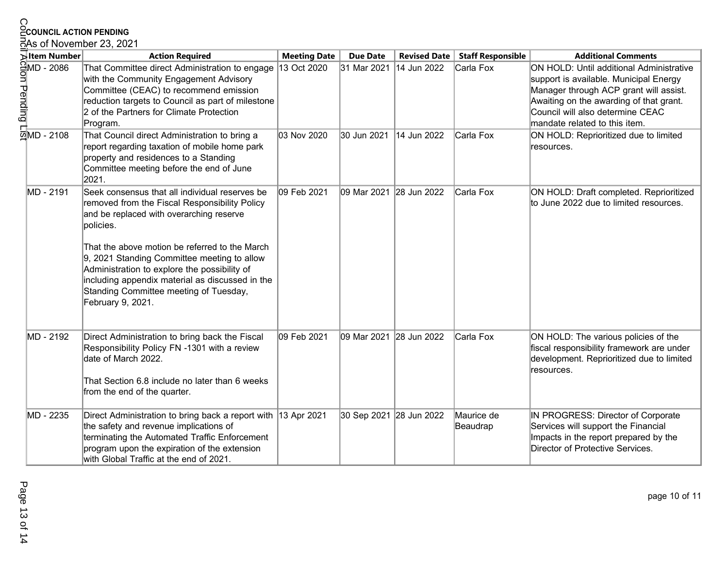# As of November 23, 2021

| ဂ<br><b><i><u>ECOUNCIL ACTION PENDING</u></i></b><br>විAs of November 23, 2021 |                                                                                                                                                                                                                                                                                                                                                                                                                             |                     |                         |                     |                          |                                                                                                                                                                                                                                              |
|--------------------------------------------------------------------------------|-----------------------------------------------------------------------------------------------------------------------------------------------------------------------------------------------------------------------------------------------------------------------------------------------------------------------------------------------------------------------------------------------------------------------------|---------------------|-------------------------|---------------------|--------------------------|----------------------------------------------------------------------------------------------------------------------------------------------------------------------------------------------------------------------------------------------|
| Sitem Number                                                                   | <b>Action Required</b>                                                                                                                                                                                                                                                                                                                                                                                                      | <b>Meeting Date</b> | <b>Due Date</b>         | <b>Revised Date</b> | <b>Staff Responsible</b> | <b>Additional Comments</b>                                                                                                                                                                                                                   |
| <b>AND - 2086</b><br>DOD - 2086<br>DOD - 2086<br>TO - 2108<br>TO - 2108        | That Committee direct Administration to engage<br>with the Community Engagement Advisory<br>Committee (CEAC) to recommend emission<br>reduction targets to Council as part of milestone<br>2 of the Partners for Climate Protection<br>Program.                                                                                                                                                                             | 13 Oct 2020         | 31 Mar 2021             | 14 Jun 2022         | Carla Fox                | ON HOLD: Until additional Administrative<br>support is available. Municipal Energy<br>Manager through ACP grant will assist.<br>Awaiting on the awarding of that grant.<br>Council will also determine CEAC<br>mandate related to this item. |
|                                                                                | That Council direct Administration to bring a<br>report regarding taxation of mobile home park<br>property and residences to a Standing<br>Committee meeting before the end of June<br>2021.                                                                                                                                                                                                                                | 03 Nov 2020         | 30 Jun 2021             | 14 Jun 2022         | Carla Fox                | ON HOLD: Reprioritized due to limited<br>resources.                                                                                                                                                                                          |
| MD - 2191                                                                      | Seek consensus that all individual reserves be<br>removed from the Fiscal Responsibility Policy<br>and be replaced with overarching reserve<br>policies.<br>That the above motion be referred to the March<br>9, 2021 Standing Committee meeting to allow<br>Administration to explore the possibility of<br>including appendix material as discussed in the<br>Standing Committee meeting of Tuesday,<br>February 9, 2021. | 09 Feb 2021         | 09 Mar 2021 28 Jun 2022 |                     | Carla Fox                | ON HOLD: Draft completed. Reprioritized<br>to June 2022 due to limited resources.                                                                                                                                                            |
| MD - 2192                                                                      | Direct Administration to bring back the Fiscal<br>Responsibility Policy FN -1301 with a review<br>date of March 2022.<br>That Section 6.8 include no later than 6 weeks<br>from the end of the quarter.                                                                                                                                                                                                                     | 09 Feb 2021         | 09 Mar 2021 28 Jun 2022 |                     | Carla Fox                | ON HOLD: The various policies of the<br>fiscal responsibility framework are under<br>development. Reprioritized due to limited<br>resources.                                                                                                 |
| MD - 2235                                                                      | Direct Administration to bring back a report with<br>the safety and revenue implications of<br>terminating the Automated Traffic Enforcement<br>program upon the expiration of the extension<br>with Global Traffic at the end of 2021.                                                                                                                                                                                     | 13 Apr 2021         | 30 Sep 2021 28 Jun 2022 |                     | Maurice de<br>Beaudrap   | IN PROGRESS: Director of Corporate<br>Services will support the Financial<br>Impacts in the report prepared by the<br>Director of Protective Services.                                                                                       |

page 10 of 11